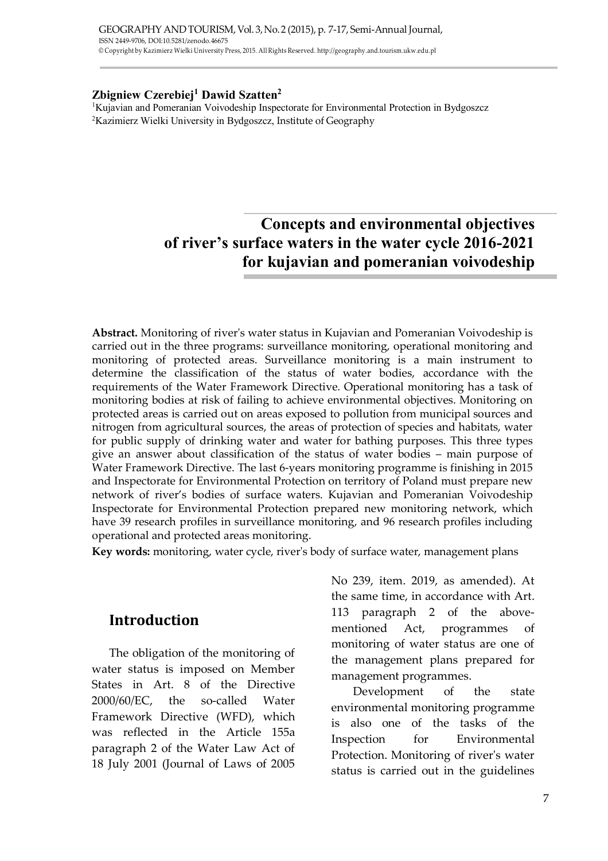#### **Zbigniew Czerebiej<sup>1</sup> Dawid Szatten<sup>2</sup>**

<sup>1</sup>Kujavian and Pomeranian Voivodeship Inspectorate for Environmental Protection in Bydgoszcz <sup>2</sup>Kazimierz Wielki University in Bydgoszcz, Institute of Geography

# **Concepts and environmental objectives of river's surface waters in the water cycle 2016-2021 for kujavian and pomeranian voivodeship**

**Abstract.** Monitoring of river's water status in Kujavian and Pomeranian Voivodeship is carried out in the three programs: surveillance monitoring, operational monitoring and monitoring of protected areas. Surveillance monitoring is a main instrument to determine the classification of the status of water bodies, accordance with the requirements of the Water Framework Directive. Operational monitoring has a task of monitoring bodies at risk of failing to achieve environmental objectives. Monitoring on protected areas is carried out on areas exposed to pollution from municipal sources and nitrogen from agricultural sources, the areas of protection of species and habitats, water for public supply of drinking water and water for bathing purposes. This three types give an answer about classification of the status of water bodies – main purpose of Water Framework Directive. The last 6-years monitoring programme is finishing in 2015 and Inspectorate for Environmental Protection on territory of Poland must prepare new network of river's bodies of surface waters. Kujavian and Pomeranian Voivodeship Inspectorate for Environmental Protection prepared new monitoring network, which have 39 research profiles in surveillance monitoring, and 96 research profiles including operational and protected areas monitoring.

**Key words:** monitoring, water cycle, river's body of surface water, management plans

### **Introduction**

The obligation of the monitoring of water status is imposed on Member States in Art. 8 of the Directive 2000/60/EC, the so-called Water Framework Directive (WFD), which was reflected in the Article 155a paragraph 2 of the Water Law Act of 18 July 2001 (Journal of Laws of 2005

No 239, item. 2019, as amended). At the same time, in accordance with Art. 113 paragraph 2 of the abovementioned Act, programmes of monitoring of water status are one of the management plans prepared for management programmes.

Development of the state environmental monitoring programme is also one of the tasks of the Inspection for Environmental Protection. Monitoring of river's water status is carried out in the guidelines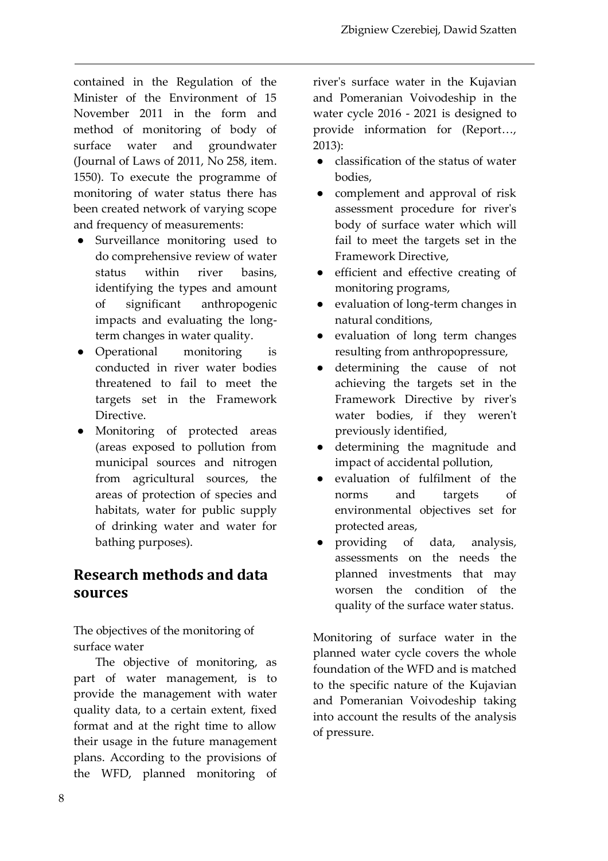contained in the Regulation of the Minister of the Environment of 15 November 2011 in the form and method of monitoring of body of surface water and groundwater (Journal of Laws of 2011, No 258, item. 1550). To execute the programme of monitoring of water status there has been created network of varying scope and frequency of measurements:

- Surveillance monitoring used to do comprehensive review of water status within river basins, identifying the types and amount of significant anthropogenic impacts and evaluating the longterm changes in water quality.
- Operational monitoring is conducted in river water bodies threatened to fail to meet the targets set in the Framework Directive.
- Monitoring of protected areas (areas exposed to pollution from municipal sources and nitrogen from agricultural sources, the areas of protection of species and habitats, water for public supply of drinking water and water for bathing purposes).

# **Research methods and data sources**

The objectives of the monitoring of surface water

The objective of monitoring, as part of water management, is to provide the management with water quality data, to a certain extent, fixed format and at the right time to allow their usage in the future management plans. According to the provisions of the WFD, planned monitoring of

river's surface water in the Kujavian and Pomeranian Voivodeship in the water cycle 2016 - 2021 is designed to provide information for (Report…, 2013):

- classification of the status of water bodies,
- complement and approval of risk assessment procedure for river's body of surface water which will fail to meet the targets set in the Framework Directive,
- efficient and effective creating of monitoring programs,
- evaluation of long-term changes in natural conditions,
- evaluation of long term changes resulting from anthropopressure,
- determining the cause of not achieving the targets set in the Framework Directive by river's water bodies, if they weren't previously identified,
- determining the magnitude and impact of accidental pollution,
- evaluation of fulfilment of the norms and targets of environmental objectives set for protected areas,
- providing of data, analysis, assessments on the needs the planned investments that may worsen the condition of the quality of the surface water status.

Monitoring of surface water in the planned water cycle covers the whole foundation of the WFD and is matched to the specific nature of the Kujavian and Pomeranian Voivodeship taking into account the results of the analysis of pressure.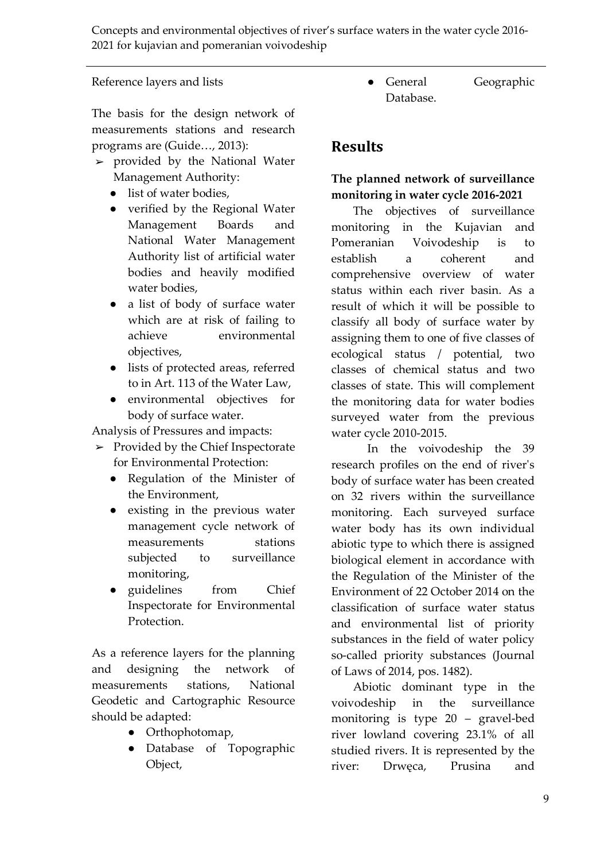#### Reference layers and lists

The basis for the design network of measurements stations and research programs are (Guide…, 2013):

- $\blacktriangleright$  provided by the National Water Management Authority:
	- list of water bodies,
	- verified by the Regional Water Management Boards and National Water Management Authority list of artificial water bodies and heavily modified water bodies,
	- a list of body of surface water which are at risk of failing to achieve environmental objectives,
	- lists of protected areas, referred to in Art. 113 of the Water Law,
	- environmental objectives for body of surface water.

Analysis of Pressures and impacts:

- $\blacktriangleright$  Provided by the Chief Inspectorate for Environmental Protection:
	- Regulation of the Minister of the Environment,
	- existing in the previous water management cycle network of measurements stations subjected to surveillance monitoring,
	- guidelines from Chief Inspectorate for Environmental Protection.

As a reference layers for the planning and designing the network of measurements stations, National Geodetic and Cartographic Resource should be adapted:

- Orthophotomap,
- Database of Topographic Object,

● General Geographic Database.

## **Results**

### **The planned network of surveillance monitoring in water cycle 2016-2021**

The objectives of surveillance monitoring in the Kujavian and Pomeranian Voivodeship is to establish a coherent and comprehensive overview of water status within each river basin. As a result of which it will be possible to classify all body of surface water by assigning them to one of five classes of ecological status / potential, two classes of chemical status and two classes of state. This will complement the monitoring data for water bodies surveyed water from the previous water cycle 2010-2015.

In the voivodeship the 39 research profiles on the end of river's body of surface water has been created on 32 rivers within the surveillance monitoring. Each surveyed surface water body has its own individual abiotic type to which there is assigned biological element in accordance with the Regulation of the Minister of the Environment of 22 October 2014 on the classification of surface water status and environmental list of priority substances in the field of water policy so-called priority substances (Journal of Laws of 2014, pos. 1482).

Abiotic dominant type in the voivodeship in the surveillance monitoring is type 20 – gravel-bed river lowland covering 23.1% of all studied rivers. It is represented by the river: Drwęca, Prusina and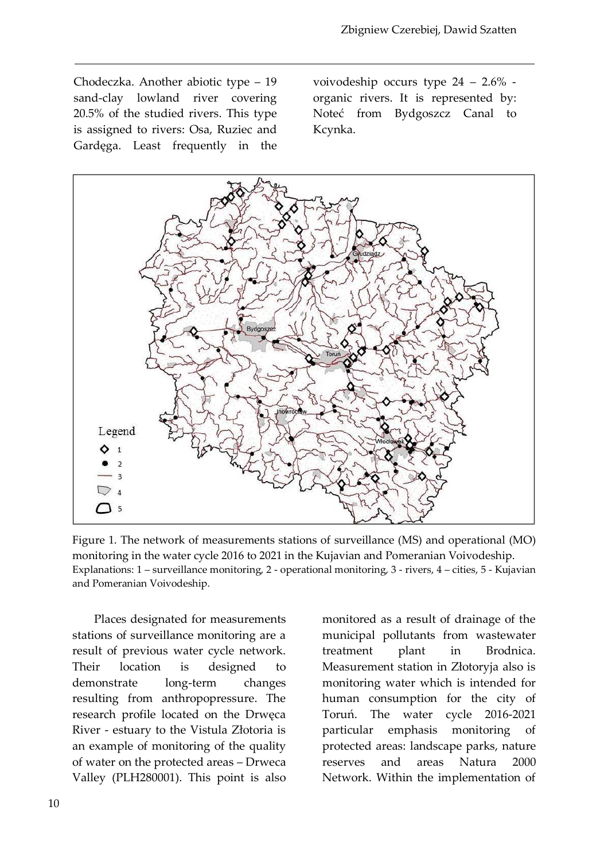Chodeczka. Another abiotic type – 19 sand-clay lowland river covering 20.5% of the studied rivers. This type is assigned to rivers: Osa, Ruziec and Gardęga. Least frequently in the voivodeship occurs type 24 – 2.6% organic rivers. It is represented by: Noteć from Bydgoszcz Canal to Kcynka.



Figure 1. The network of measurements stations of surveillance (MS) and operational (MO) monitoring in the water cycle 2016 to 2021 in the Kujavian and Pomeranian Voivodeship. Explanations: 1 – surveillance monitoring, 2 - operational monitoring, 3 - rivers, 4 – cities, 5 - Kujavian and Pomeranian Voivodeship.

Places designated for measurements stations of surveillance monitoring are a result of previous water cycle network. Their location is designed to demonstrate long-term changes resulting from anthropopressure. The research profile located on the Drwęca River - estuary to the Vistula Złotoria is an example of monitoring of the quality of water on the protected areas – Drweca Valley (PLH280001). This point is also

monitored as a result of drainage of the municipal pollutants from wastewater treatment plant in Brodnica. Measurement station in Złotoryja also is monitoring water which is intended for human consumption for the city of Toruń. The water cycle 2016-2021 particular emphasis monitoring of protected areas: landscape parks, nature reserves and areas Natura 2000 Network. Within the implementation of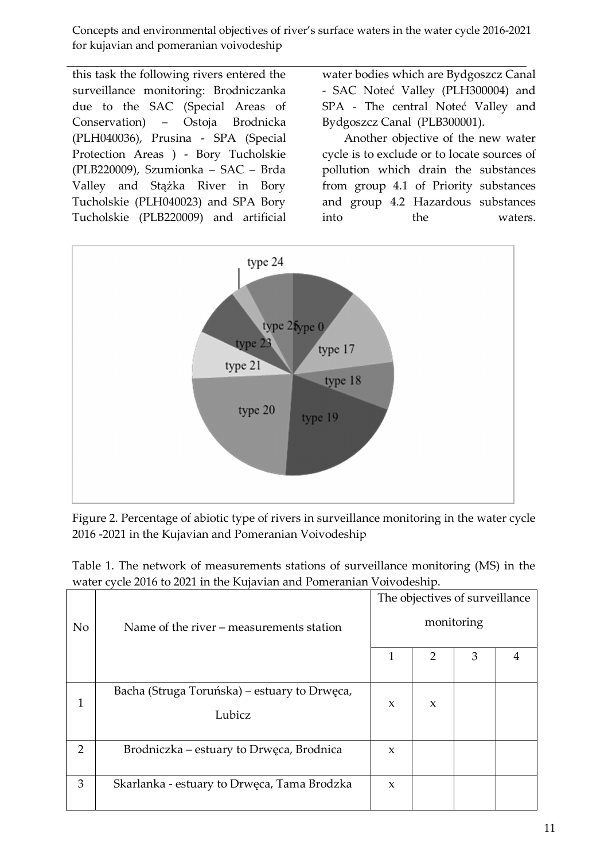this task the following rivers entered the surveillance monitoring: Brodniczanka due to the SAC (Special Areas of Conservation) – Ostoja Brodnicka (PLH040036), Prusina - SPA (Special Protection Areas ) - Bory Tucholskie (PLB220009), Szumionka – SAC – Brda Valley and Stążka River in Bory Tucholskie (PLH040023) and SPA Bory Tucholskie (PLB220009) and artificial

water bodies which are Bydgoszcz Canal - SAC Noteć Valley (PLH300004) and SPA - The central Noteć Valley and Bydgoszcz Canal (PLB300001).

Another objective of the new water cycle is to exclude or to locate sources of pollution which drain the substances from group 4.1 of Priority substances and group 4.2 Hazardous substances into the waters.



Figure 2. Percentage of abiotic type of rivers in surveillance monitoring in the water cycle 2016 -2021 in the Kujavian and Pomeranian Voivodeship

|  |  | Table 1. The network of measurements stations of surveillance monitoring (MS) in the |  |  |
|--|--|--------------------------------------------------------------------------------------|--|--|
|  |  | water cycle 2016 to 2021 in the Kujavian and Pomeranian Voivodeship.                 |  |  |

|                |                                                        | The objectives of surveillance |   |   |  |
|----------------|--------------------------------------------------------|--------------------------------|---|---|--|
| N <sub>o</sub> | Name of the river – measurements station               | monitoring                     |   |   |  |
|                |                                                        | 1                              | 2 | 3 |  |
| 1              | Bacha (Struga Toruńska) – estuary to Drwęca,<br>Lubicz | $\mathbf x$                    | X |   |  |
| 2              | Brodniczka – estuary to Drwęca, Brodnica               | $\boldsymbol{\chi}$            |   |   |  |
| 3              | Skarlanka - estuary to Drwęca, Tama Brodzka            | $\mathbf{x}$                   |   |   |  |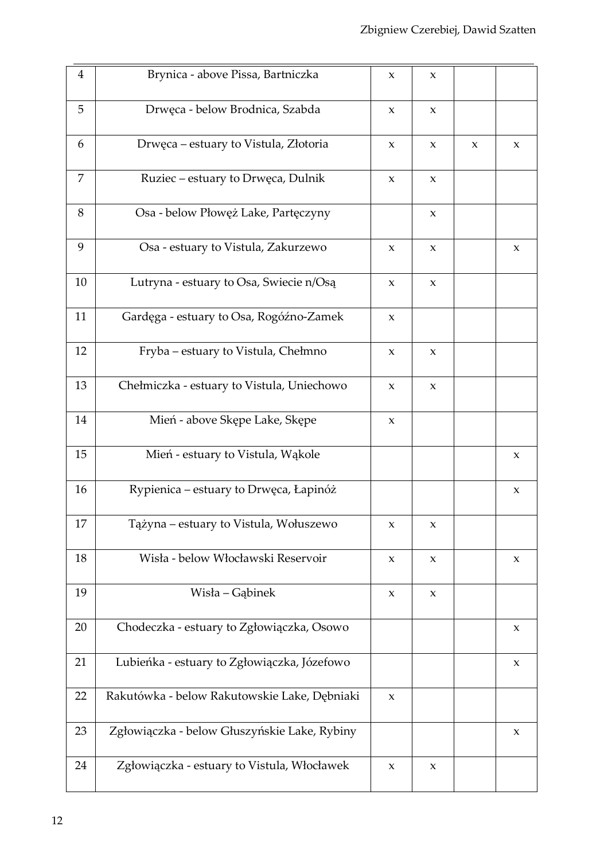| $\overline{4}$ | Brynica - above Pissa, Bartniczka            | $\mathbf x$               | $\boldsymbol{\mathsf{X}}$ |             |                           |
|----------------|----------------------------------------------|---------------------------|---------------------------|-------------|---------------------------|
| 5              | Drwęca - below Brodnica, Szabda              | $\mathbf{X}$              | $\mathsf X$               |             |                           |
| 6              | Drwęca – estuary to Vistula, Złotoria        | $\boldsymbol{\chi}$       | $\mathsf X$               | $\mathsf X$ | $\boldsymbol{\chi}$       |
| 7              | Ruziec - estuary to Drwęca, Dulnik           | $\mathbf X$               | $\mathbf X$               |             |                           |
| 8              | Osa - below Płowęż Lake, Partęczyny          |                           | $\mathsf X$               |             |                           |
| 9              | Osa - estuary to Vistula, Zakurzewo          | $\mathbf x$               | $\mathsf X$               |             | $\boldsymbol{\mathrm{X}}$ |
| 10             | Lutryna - estuary to Osa, Swiecie n/Osą      | $\mathbf X$               | $\boldsymbol{\mathsf{X}}$ |             |                           |
| 11             | Gardęga - estuary to Osa, Rogóźno-Zamek      | $\boldsymbol{\chi}$       |                           |             |                           |
| 12             | Fryba – estuary to Vistula, Chełmno          | $\mathsf X$               | $\boldsymbol{\mathsf{X}}$ |             |                           |
| 13             | Chełmiczka - estuary to Vistula, Uniechowo   | $\mathbf X$               | $\mathsf X$               |             |                           |
| 14             | Mień - above Skępe Lake, Skępe               | $\mathsf X$               |                           |             |                           |
| 15             | Mień - estuary to Vistula, Wąkole            |                           |                           |             | $\boldsymbol{\mathrm{X}}$ |
| 16             | Rypienica – estuary to Drwęca, Łapinóż       |                           |                           |             | X                         |
| 17             | Tążyna – estuary to Vistula, Wołuszewo       | X                         | X                         |             |                           |
| 18             | Wisła - below Włocławski Reservoir           | $\mathsf X$               | $\boldsymbol{\mathsf{X}}$ |             | $\boldsymbol{\chi}$       |
| 19             | Wisła – Gąbinek                              | $\boldsymbol{\mathsf{X}}$ | X                         |             |                           |
| 20             | Chodeczka - estuary to Zgłowiączka, Osowo    |                           |                           |             | $\mathsf X$               |
| 21             | Lubieńka - estuary to Zgłowiączka, Józefowo  |                           |                           |             | X                         |
| 22             | Rakutówka - below Rakutowskie Lake, Dębniaki | X                         |                           |             |                           |
| 23             | Zgłowiączka - below Głuszyńskie Lake, Rybiny |                           |                           |             | $\boldsymbol{\chi}$       |
| 24             | Zgłowiączka - estuary to Vistula, Włocławek  | $\boldsymbol{\mathsf{X}}$ | X                         |             |                           |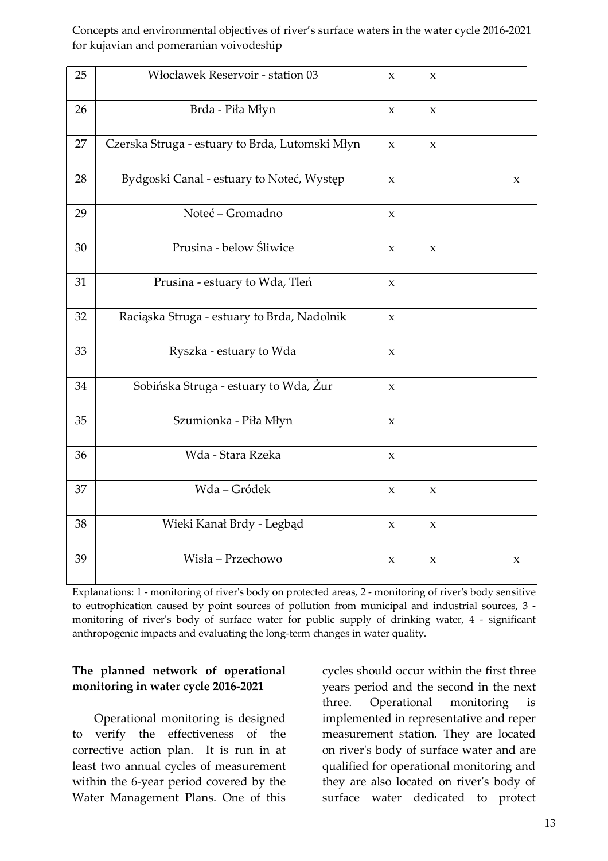| 25 | Włocławek Reservoir - station 03                | X                         | $\boldsymbol{\mathsf{X}}$ |             |
|----|-------------------------------------------------|---------------------------|---------------------------|-------------|
| 26 | Brda - Piła Młyn                                | X                         | $\boldsymbol{\chi}$       |             |
| 27 | Czerska Struga - estuary to Brda, Lutomski Młyn | $\boldsymbol{\mathsf{X}}$ | $\mathsf X$               |             |
| 28 | Bydgoski Canal - estuary to Noteć, Występ       | X                         |                           | X           |
| 29 | Noteć – Gromadno                                | X                         |                           |             |
| 30 | Prusina - below Śliwice                         | X                         | $\boldsymbol{\mathsf{X}}$ |             |
| 31 | Prusina - estuary to Wda, Tleń                  | $\mathbf X$               |                           |             |
| 32 | Raciąska Struga - estuary to Brda, Nadolnik     | X                         |                           |             |
| 33 | Ryszka - estuary to Wda                         | $\mathbf x$               |                           |             |
| 34 | Sobińska Struga - estuary to Wda, Żur           | X                         |                           |             |
| 35 | Szumionka - Piła Młyn                           | $\mathbf{x}$              |                           |             |
| 36 | Wda - Stara Rzeka                               | $\mathbf x$               |                           |             |
| 37 | Wda-Gródek                                      | $\mathsf X$               | $\mathsf X$               |             |
| 38 | Wieki Kanał Brdy - Legbąd                       | $\mathsf X$               | $\mathsf X$               |             |
| 39 | Wisła – Przechowo                               | $\mathsf X$               | $\mathbf x$               | $\mathsf X$ |

Explanations: 1 - monitoring of river's body on protected areas, 2 - monitoring of river's body sensitive to eutrophication caused by point sources of pollution from municipal and industrial sources, 3 monitoring of river's body of surface water for public supply of drinking water, 4 - significant anthropogenic impacts and evaluating the long-term changes in water quality.

#### **The planned network of operational monitoring in water cycle 2016-2021**

Operational monitoring is designed to verify the effectiveness of the corrective action plan. It is run in at least two annual cycles of measurement within the 6-year period covered by the Water Management Plans. One of this

cycles should occur within the first three years period and the second in the next three. Operational monitoring is implemented in representative and reper measurement station. They are located on river's body of surface water and are qualified for operational monitoring and they are also located on river's body of surface water dedicated to protect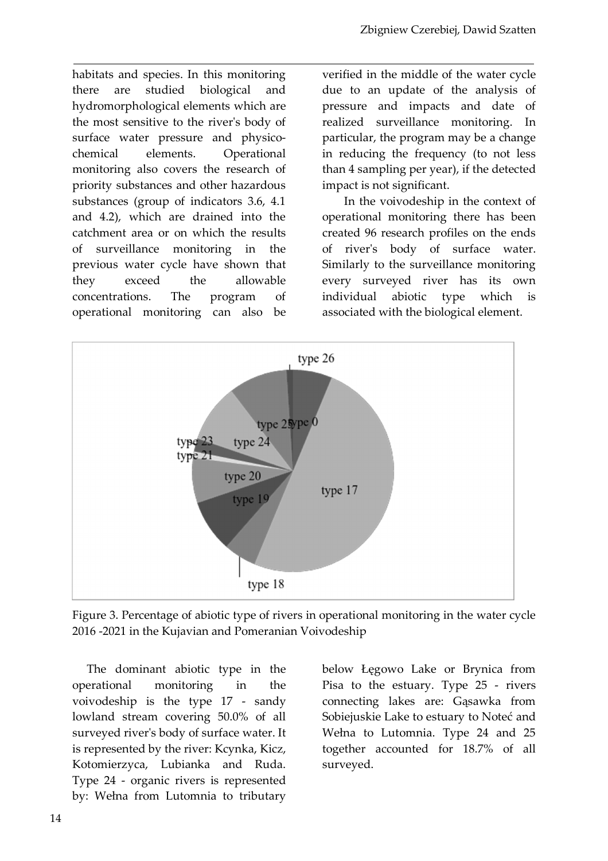habitats and species. In this monitoring there are studied biological and hydromorphological elements which are the most sensitive to the river's body of surface water pressure and physicochemical elements. Operational monitoring also covers the research of priority substances and other hazardous substances (group of indicators 3.6, 4.1 and 4.2), which are drained into the catchment area or on which the results of surveillance monitoring in the previous water cycle have shown that they exceed the allowable concentrations. The program of operational monitoring can also be

verified in the middle of the water cycle due to an update of the analysis of pressure and impacts and date of realized surveillance monitoring. In particular, the program may be a change in reducing the frequency (to not less than 4 sampling per year), if the detected impact is not significant.

In the voivodeship in the context of operational monitoring there has been created 96 research profiles on the ends of river's body of surface water. Similarly to the surveillance monitoring every surveyed river has its own individual abiotic type which is associated with the biological element.



Figure 3. Percentage of abiotic type of rivers in operational monitoring in the water cycle 2016 -2021 in the Kujavian and Pomeranian Voivodeship

The dominant abiotic type in the operational monitoring in the voivodeship is the type 17 - sandy lowland stream covering 50.0% of all surveyed river's body of surface water. It is represented by the river: Kcynka, Kicz, Kotomierzyca, Lubianka and Ruda. Type 24 - organic rivers is represented by: Wełna from Lutomnia to tributary below Łęgowo Lake or Brynica from Pisa to the estuary. Type 25 - rivers connecting lakes are: Gąsawka from Sobiejuskie Lake to estuary to Noteć and Wełna to Lutomnia. Type 24 and 25 together accounted for 18.7% of all surveyed.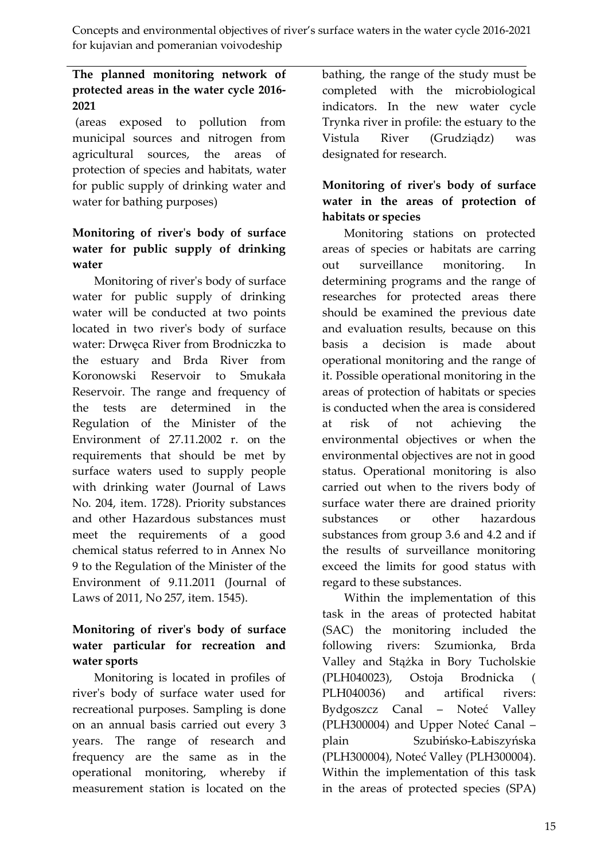### **The planned monitoring network of protected areas in the water cycle 2016- 2021**

(areas exposed to pollution from municipal sources and nitrogen from agricultural sources, the areas of protection of species and habitats, water for public supply of drinking water and water for bathing purposes)

### **Monitoring of river's body of surface water for public supply of drinking water**

Monitoring of river's body of surface water for public supply of drinking water will be conducted at two points located in two river's body of surface water: Drwęca River from Brodniczka to the estuary and Brda River from Koronowski Reservoir to Smukała Reservoir. The range and frequency of the tests are determined in the Regulation of the Minister of the Environment of 27.11.2002 r. on the requirements that should be met by surface waters used to supply people with drinking water (Journal of Laws No. 204, item. 1728). Priority substances and other Hazardous substances must meet the requirements of a good chemical status referred to in Annex No 9 to the Regulation of the Minister of the Environment of 9.11.2011 (Journal of Laws of 2011, No 257, item. 1545).

### **Monitoring of river's body of surface water particular for recreation and water sports**

Monitoring is located in profiles of river's body of surface water used for recreational purposes. Sampling is done on an annual basis carried out every 3 years. The range of research and frequency are the same as in the operational monitoring, whereby if measurement station is located on the bathing, the range of the study must be completed with the microbiological indicators. In the new water cycle Trynka river in profile: the estuary to the Vistula River (Grudziądz) was designated for research.

### **Monitoring of river's body of surface water in the areas of protection of habitats or species**

Monitoring stations on protected areas of species or habitats are carring out surveillance monitoring. In determining programs and the range of researches for protected areas there should be examined the previous date and evaluation results, because on this basis a decision is made about operational monitoring and the range of it. Possible operational monitoring in the areas of protection of habitats or species is conducted when the area is considered at risk of not achieving the environmental objectives or when the environmental objectives are not in good status. Operational monitoring is also carried out when to the rivers body of surface water there are drained priority substances or other hazardous substances from group 3.6 and 4.2 and if the results of surveillance monitoring exceed the limits for good status with regard to these substances.

Within the implementation of this task in the areas of protected habitat (SAC) the monitoring included the following rivers: Szumionka, Brda Valley and Stążka in Bory Tucholskie (PLH040023), Ostoja Brodnicka ( PLH040036) and artifical rivers: Bydgoszcz Canal – Noteć Valley (PLH300004) and Upper Noteć Canal – plain Szubińsko-Łabiszyńska (PLH300004), Noteć Valley (PLH300004). Within the implementation of this task in the areas of protected species (SPA)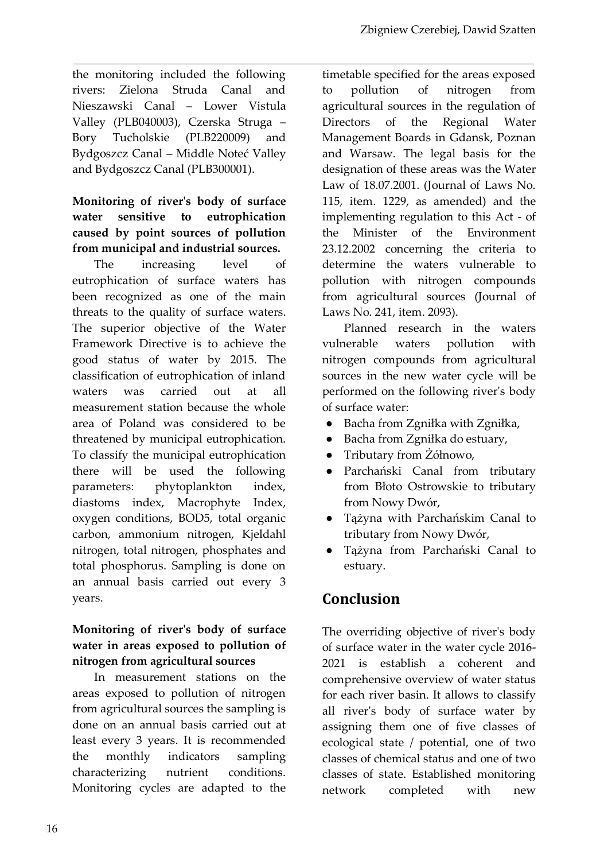the monitoring included the following rivers: Zielona Struda Canal and Nieszawski Canal – Lower Vistula Valley (PLB040003), Czerska Struga – Bory Tucholskie (PLB220009) and Bydgoszcz Canal – Middle Noteć Valley and Bydgoszcz Canal (PLB300001).

### **Monitoring of river's body of surface water sensitive to eutrophication caused by point sources of pollution from municipal and industrial sources.**

The increasing level of eutrophication of surface waters has been recognized as one of the main threats to the quality of surface waters. The superior objective of the Water Framework Directive is to achieve the good status of water by 2015. The classification of eutrophication of inland waters was carried out at all measurement station because the whole area of Poland was considered to be threatened by municipal eutrophication. To classify the municipal eutrophication there will be used the following parameters: phytoplankton index, diastoms index, Macrophyte Index, oxygen conditions, BOD5, total organic carbon, ammonium nitrogen, Kjeldahl nitrogen, total nitrogen, phosphates and total phosphorus. Sampling is done on an annual basis carried out every 3 years.

#### **Monitoring of river's body of surface water in areas exposed to pollution of nitrogen from agricultural sources**

In measurement stations on the areas exposed to pollution of nitrogen from agricultural sources the sampling is done on an annual basis carried out at least every 3 years. It is recommended the monthly indicators sampling characterizing nutrient conditions. Monitoring cycles are adapted to the timetable specified for the areas exposed to pollution of nitrogen from agricultural sources in the regulation of Directors of the Regional Water Management Boards in Gdansk, Poznan and Warsaw. The legal basis for the designation of these areas was the Water Law of 18.07.2001. (Journal of Laws No. 115, item. 1229, as amended) and the implementing regulation to this Act - of the Minister of the Environment 23.12.2002 concerning the criteria to determine the waters vulnerable to pollution with nitrogen compounds from agricultural sources (Journal of Laws No. 241, item. 2093).

Planned research in the waters vulnerable waters pollution with nitrogen compounds from agricultural sources in the new water cycle will be performed on the following river's body of surface water:

- Bacha from Zgniłka with Zgniłka,
- Bacha from Zgniłka do estuary,
- Tributary from Żółnowo,
- Parchański Canal from tributary from Błoto Ostrowskie to tributary from Nowy Dwór,
- Tążyna with Parchańskim Canal to tributary from Nowy Dwór,
- Tążyna from Parchański Canal to estuary.

# **Conclusion**

The overriding objective of river's body of surface water in the water cycle 2016- 2021 is establish a coherent and comprehensive overview of water status for each river basin. It allows to classify all river's body of surface water by assigning them one of five classes of ecological state / potential, one of two classes of chemical status and one of two classes of state. Established monitoring network completed with new